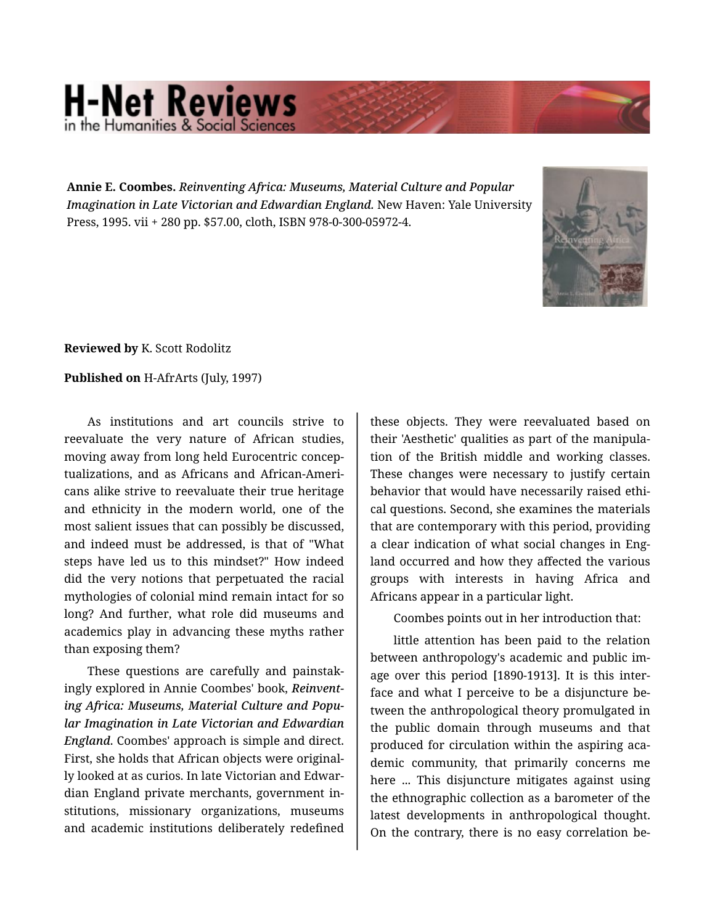## **H-Net Reviews** in the Humanities & Social S

**Annie E. Coombes.** *Reinventing Africa: Museums, Material Culture and Popular Imagination in Late Victorian and Edwardian England.* New Haven: Yale University Press, 1995. vii + 280 pp. \$57.00, cloth, ISBN 978-0-300-05972-4.



**Reviewed by** K. Scott Rodolitz

## **Published on** H-AfrArts (July, 1997)

As institutions and art councils strive to reevaluate the very nature of African studies, moving away from long held Eurocentric concep‐ tualizations, and as Africans and African-Ameri‐ cans alike strive to reevaluate their true heritage and ethnicity in the modern world, one of the most salient issues that can possibly be discussed, and indeed must be addressed, is that of "What steps have led us to this mindset?" How indeed did the very notions that perpetuated the racial mythologies of colonial mind remain intact for so long? And further, what role did museums and academics play in advancing these myths rather than exposing them?

These questions are carefully and painstak‐ ingly explored in Annie Coombes' book, *Reinvent‐ ing Africa: Museums, Material Culture and Popu‐ lar Imagination in Late Victorian and Edwardian England*. Coombes' approach is simple and direct. First, she holds that African objects were original‐ ly looked at as curios. In late Victorian and Edwar‐ dian England private merchants, government in‐ stitutions, missionary organizations, museums and academic institutions deliberately redefined

these objects. They were reevaluated based on their 'Aesthetic' qualities as part of the manipula‐ tion of the British middle and working classes. These changes were necessary to justify certain behavior that would have necessarily raised ethi‐ cal questions. Second, she examines the materials that are contemporary with this period, providing a clear indication of what social changes in Eng‐ land occurred and how they affected the various groups with interests in having Africa and Africans appear in a particular light.

Coombes points out in her introduction that:

little attention has been paid to the relation between anthropology's academic and public im‐ age over this period [1890-1913]. It is this inter‐ face and what I perceive to be a disjuncture be‐ tween the anthropological theory promulgated in the public domain through museums and that produced for circulation within the aspiring aca‐ demic community, that primarily concerns me here ... This disjuncture mitigates against using the ethnographic collection as a barometer of the latest developments in anthropological thought. On the contrary, there is no easy correlation be‐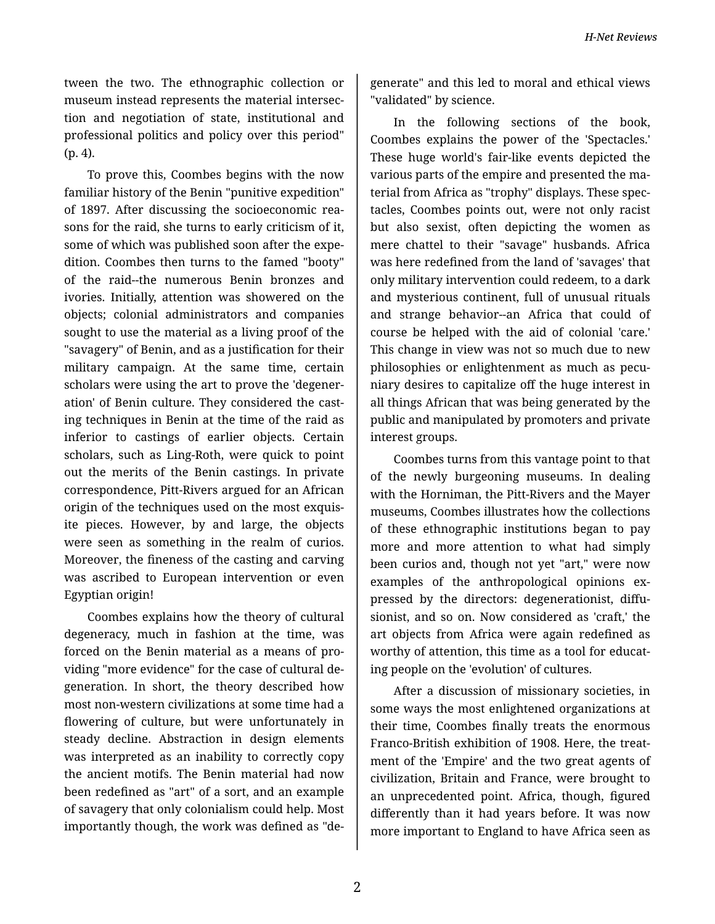tween the two. The ethnographic collection or museum instead represents the material intersec‐ tion and negotiation of state, institutional and professional politics and policy over this period" (p. 4).

To prove this, Coombes begins with the now familiar history of the Benin "punitive expedition" of 1897. After discussing the socioeconomic rea‐ sons for the raid, she turns to early criticism of it, some of which was published soon after the expedition. Coombes then turns to the famed "booty" of the raid--the numerous Benin bronzes and ivories. Initially, attention was showered on the objects; colonial administrators and companies sought to use the material as a living proof of the "savagery" of Benin, and as a justification for their military campaign. At the same time, certain scholars were using the art to prove the 'degener‐ ation' of Benin culture. They considered the cast‐ ing techniques in Benin at the time of the raid as inferior to castings of earlier objects. Certain scholars, such as Ling-Roth, were quick to point out the merits of the Benin castings. In private correspondence, Pitt-Rivers argued for an African origin of the techniques used on the most exquis‐ ite pieces. However, by and large, the objects were seen as something in the realm of curios. Moreover, the fineness of the casting and carving was ascribed to European intervention or even Egyptian origin!

Coombes explains how the theory of cultural degeneracy, much in fashion at the time, was forced on the Benin material as a means of pro‐ viding "more evidence" for the case of cultural de‐ generation. In short, the theory described how most non-western civilizations at some time had a flowering of culture, but were unfortunately in steady decline. Abstraction in design elements was interpreted as an inability to correctly copy the ancient motifs. The Benin material had now been redefined as "art" of a sort, and an example of savagery that only colonialism could help. Most importantly though, the work was defined as "de‐

generate" and this led to moral and ethical views "validated" by science.

In the following sections of the book, Coombes explains the power of the 'Spectacles.' These huge world's fair-like events depicted the various parts of the empire and presented the ma‐ terial from Africa as "trophy" displays. These spec‐ tacles, Coombes points out, were not only racist but also sexist, often depicting the women as mere chattel to their "savage" husbands. Africa was here redefined from the land of 'savages' that only military intervention could redeem, to a dark and mysterious continent, full of unusual rituals and strange behavior--an Africa that could of course be helped with the aid of colonial 'care.' This change in view was not so much due to new philosophies or enlightenment as much as pecu‐ niary desires to capitalize off the huge interest in all things African that was being generated by the public and manipulated by promoters and private interest groups.

Coombes turns from this vantage point to that of the newly burgeoning museums. In dealing with the Horniman, the Pitt-Rivers and the Mayer museums, Coombes illustrates how the collections of these ethnographic institutions began to pay more and more attention to what had simply been curios and, though not yet "art," were now examples of the anthropological opinions expressed by the directors: degenerationist, diffusionist, and so on. Now considered as 'craft,' the art objects from Africa were again redefined as worthy of attention, this time as a tool for educat‐ ing people on the 'evolution' of cultures.

After a discussion of missionary societies, in some ways the most enlightened organizations at their time, Coombes finally treats the enormous Franco-British exhibition of 1908. Here, the treat‐ ment of the 'Empire' and the two great agents of civilization, Britain and France, were brought to an unprecedented point. Africa, though, figured differently than it had years before. It was now more important to England to have Africa seen as

2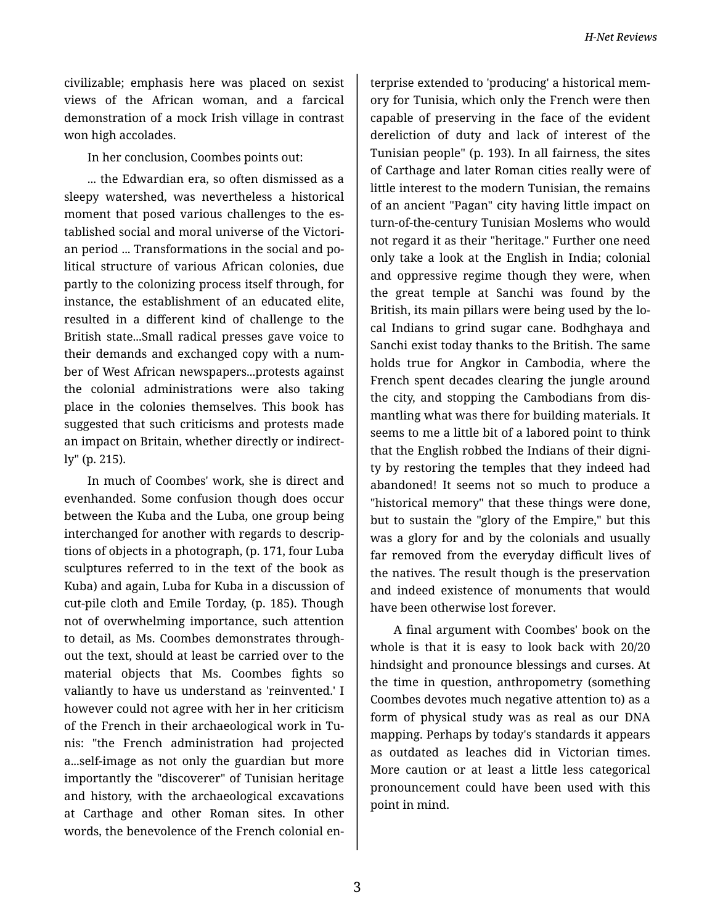civilizable; emphasis here was placed on sexist views of the African woman, and a farcical demonstration of a mock Irish village in contrast won high accolades.

In her conclusion, Coombes points out:

... the Edwardian era, so often dismissed as a sleepy watershed, was nevertheless a historical moment that posed various challenges to the es‐ tablished social and moral universe of the Victori‐ an period ... Transformations in the social and po‐ litical structure of various African colonies, due partly to the colonizing process itself through, for instance, the establishment of an educated elite, resulted in a different kind of challenge to the British state...Small radical presses gave voice to their demands and exchanged copy with a num‐ ber of West African newspapers...protests against the colonial administrations were also taking place in the colonies themselves. This book has suggested that such criticisms and protests made an impact on Britain, whether directly or indirect‐ ly" (p. 215).

In much of Coombes' work, she is direct and evenhanded. Some confusion though does occur between the Kuba and the Luba, one group being interchanged for another with regards to descrip‐ tions of objects in a photograph, (p. 171, four Luba sculptures referred to in the text of the book as Kuba) and again, Luba for Kuba in a discussion of cut-pile cloth and Emile Torday, (p. 185). Though not of overwhelming importance, such attention to detail, as Ms. Coombes demonstrates through‐ out the text, should at least be carried over to the material objects that Ms. Coombes fights so valiantly to have us understand as 'reinvented.' I however could not agree with her in her criticism of the French in their archaeological work in Tu‐ nis: "the French administration had projected a...self-image as not only the guardian but more importantly the "discoverer" of Tunisian heritage and history, with the archaeological excavations at Carthage and other Roman sites. In other words, the benevolence of the French colonial en‐

terprise extended to 'producing' a historical mem‐ ory for Tunisia, which only the French were then capable of preserving in the face of the evident dereliction of duty and lack of interest of the Tunisian people" (p. 193). In all fairness, the sites of Carthage and later Roman cities really were of little interest to the modern Tunisian, the remains of an ancient "Pagan" city having little impact on turn-of-the-century Tunisian Moslems who would not regard it as their "heritage." Further one need only take a look at the English in India; colonial and oppressive regime though they were, when the great temple at Sanchi was found by the British, its main pillars were being used by the lo‐ cal Indians to grind sugar cane. Bodhghaya and Sanchi exist today thanks to the British. The same holds true for Angkor in Cambodia, where the French spent decades clearing the jungle around the city, and stopping the Cambodians from dis‐ mantling what was there for building materials. It seems to me a little bit of a labored point to think that the English robbed the Indians of their digni‐ ty by restoring the temples that they indeed had abandoned! It seems not so much to produce a "historical memory" that these things were done, but to sustain the "glory of the Empire," but this was a glory for and by the colonials and usually far removed from the everyday difficult lives of the natives. The result though is the preservation and indeed existence of monuments that would have been otherwise lost forever.

A final argument with Coombes' book on the whole is that it is easy to look back with 20/20 hindsight and pronounce blessings and curses. At the time in question, anthropometry (something Coombes devotes much negative attention to) as a form of physical study was as real as our DNA mapping. Perhaps by today's standards it appears as outdated as leaches did in Victorian times. More caution or at least a little less categorical pronouncement could have been used with this point in mind.

3